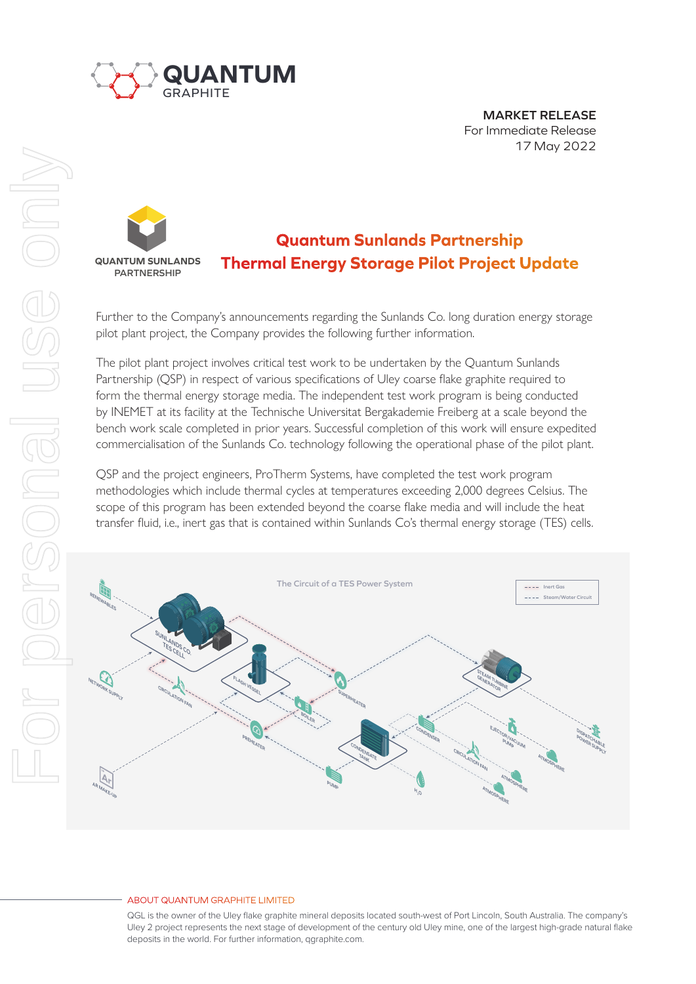

**MARKET RELEASE** For Immediate Release 17 May 2022

## **Quantum Sunlands Partnership Thermal Energy Storage Pilot Project Update QUANTUM SUNLANDS PARTNERSHIP**

Further to the Company's announcements regarding the Sunlands Co. long duration energy storage pilot plant project, the Company provides the following further information.

The pilot plant project involves critical test work to be undertaken by the Quantum Sunlands Partnership (QSP) in respect of various specifications of Uley coarse flake graphite required to form the thermal energy storage media. The independent test work program is being conducted by INEMET at its facility at the Technische Universitat Bergakademie Freiberg at a scale beyond the bench work scale completed in prior years. Successful completion of this work will ensure expedited commercialisation of the Sunlands Co. technology following the operational phase of the pilot plant.

QSP and the project engineers, ProTherm Systems, have completed the test work program methodologies which include thermal cycles at temperatures exceeding 2,000 degrees Celsius. The scope of this program has been extended beyond the coarse flake media and will include the heat transfer fluid, i.e., inert gas that is contained within Sunlands Co's thermal energy storage (TES) cells.



## ABOUT QUANTUM GRAPHITE LIMITED

QGL is the owner of the Uley flake graphite mineral deposits located south-west of Port Lincoln, South Australia. The company's Uley 2 project represents the next stage of development of the century old Uley mine, one of the largest high-grade natural flake deposits in the world. For further information, qgraphite.com.